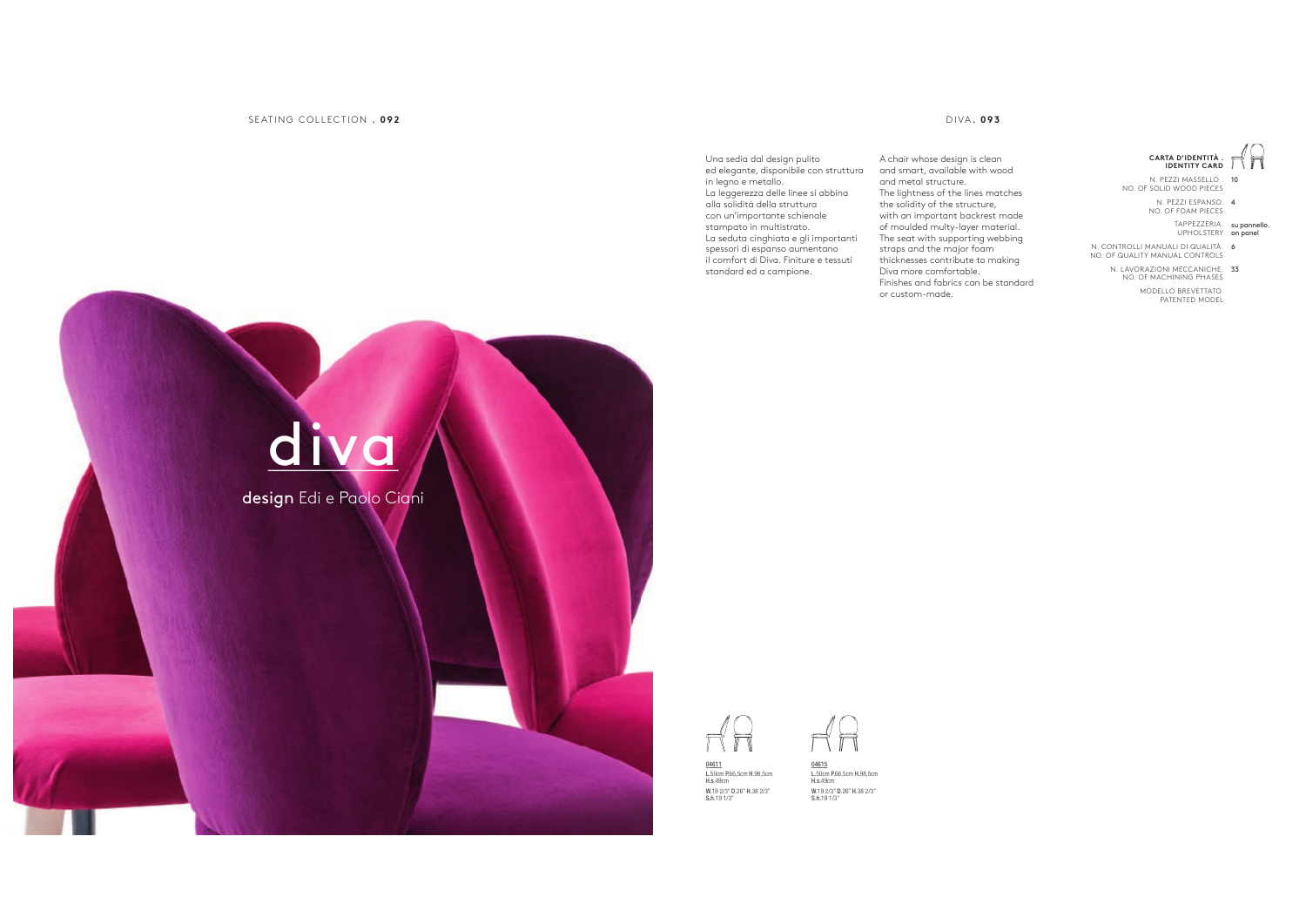## SEATING COLLECTION . **092** DIVA. **093**

Una sedia dal design pulito ed elegante, disponibile con struttura in legno e metallo. La leggerezza delle linee si abbina alla solidità della struttura con un'importante schienale stampato in multistrato. La seduta cinghiata e gli importanti spessori di espanso aumentano il comfort di Diva. Finiture e tessuti standard ed a campione.

A chair whose design is clean and smart, available with wood and metal structure. The lightness of the lines matches the solidity of the structure, with an important backrest made of moulded multy-layer material. The seat with supporting webbing straps and the major foam thicknesses contribute to making Diva more comfortable. Finishes and fabrics can be standard or custom-made.



- 10 N. PEZZI MASSELLO . NO. OF SOLID WOOD PIECES
	- 4 N. PEZZI ESPANSO. NO. OF FOAM PIECES
		- TAPPEZZERIA. su pannello. UPHOLSTERY on panel
- 6 N. CONTROLLI MANUALI DI QUALITÀ. NO. OF QUALITY MANUAL CONTROLS
	- 33 N. LAVORAZIONI MECCANICHE. NO. OF MACHINING PHASES MODELLO BREVETTATO. PATENTED MODEL





04611 L.50cm P.66,5cm H.98,5cm H.s.49cm W.19 2/3" D.26" H.38 2/3" S.h.19 1/3"

<u>04615</u><br>L.50cm P.66,5cm H.98,5cm<br>H.s.49cm W.19 2/3" D.26" H.38 2/3" S.h.19 1/3"

 $\n *A F*\n$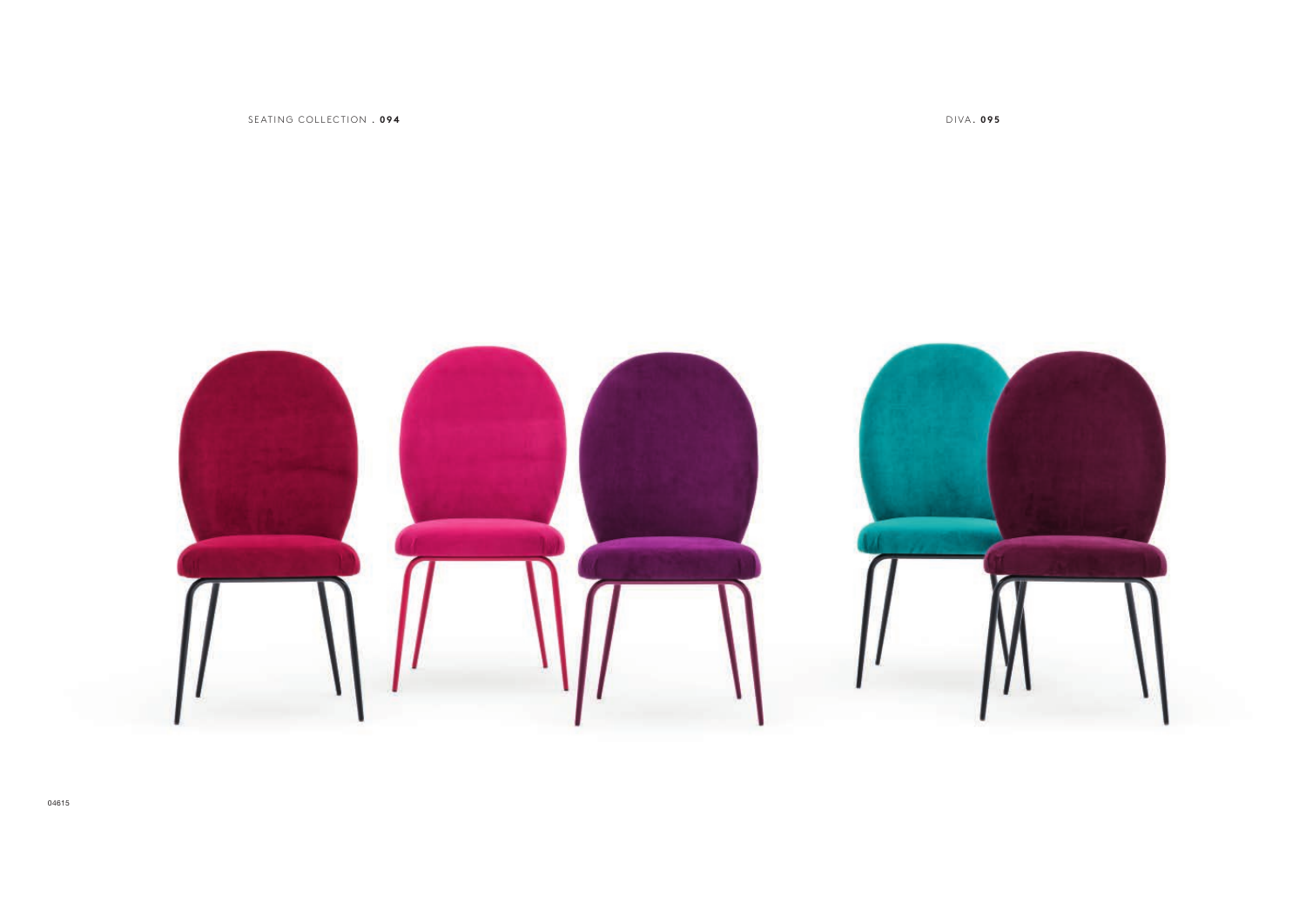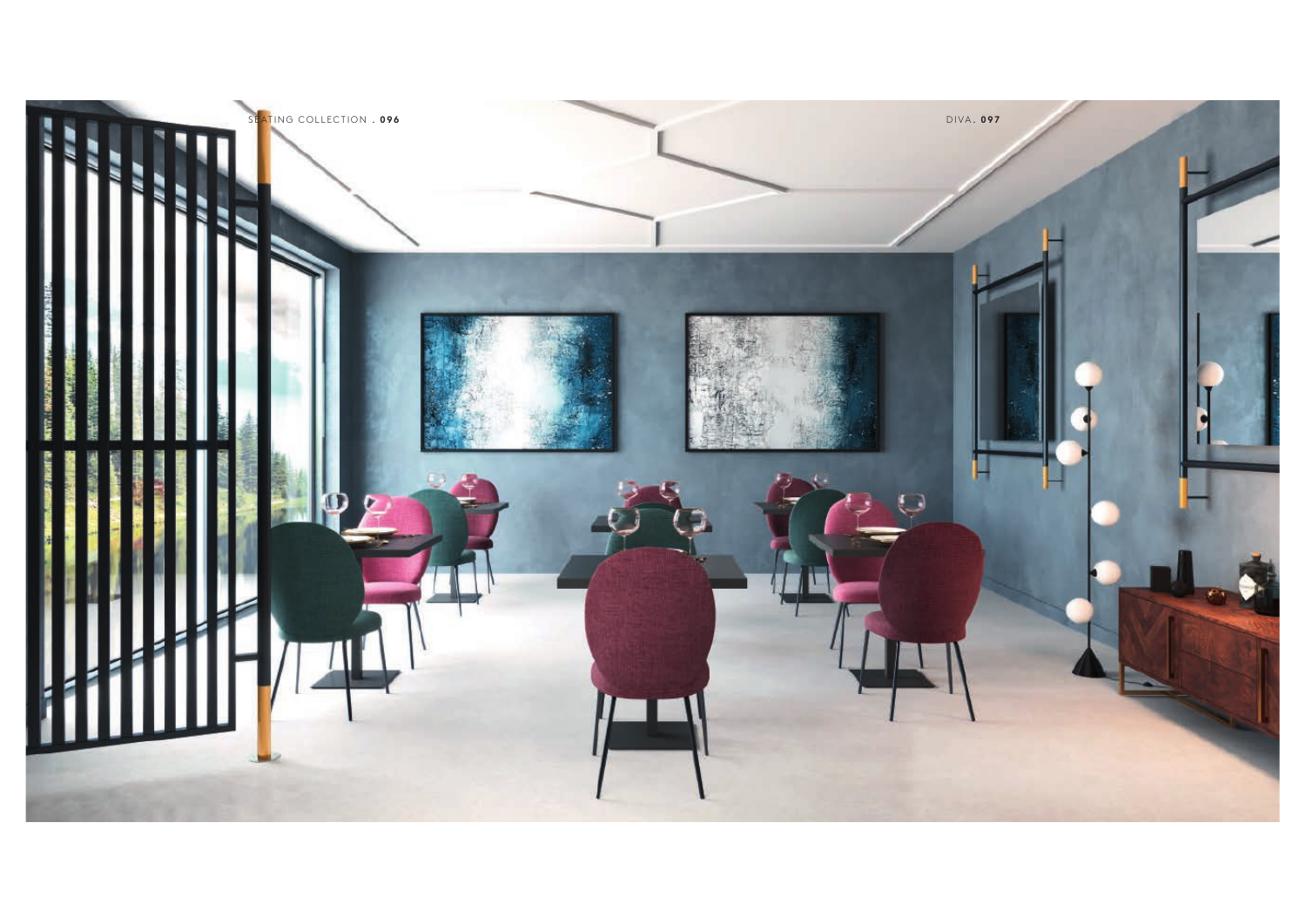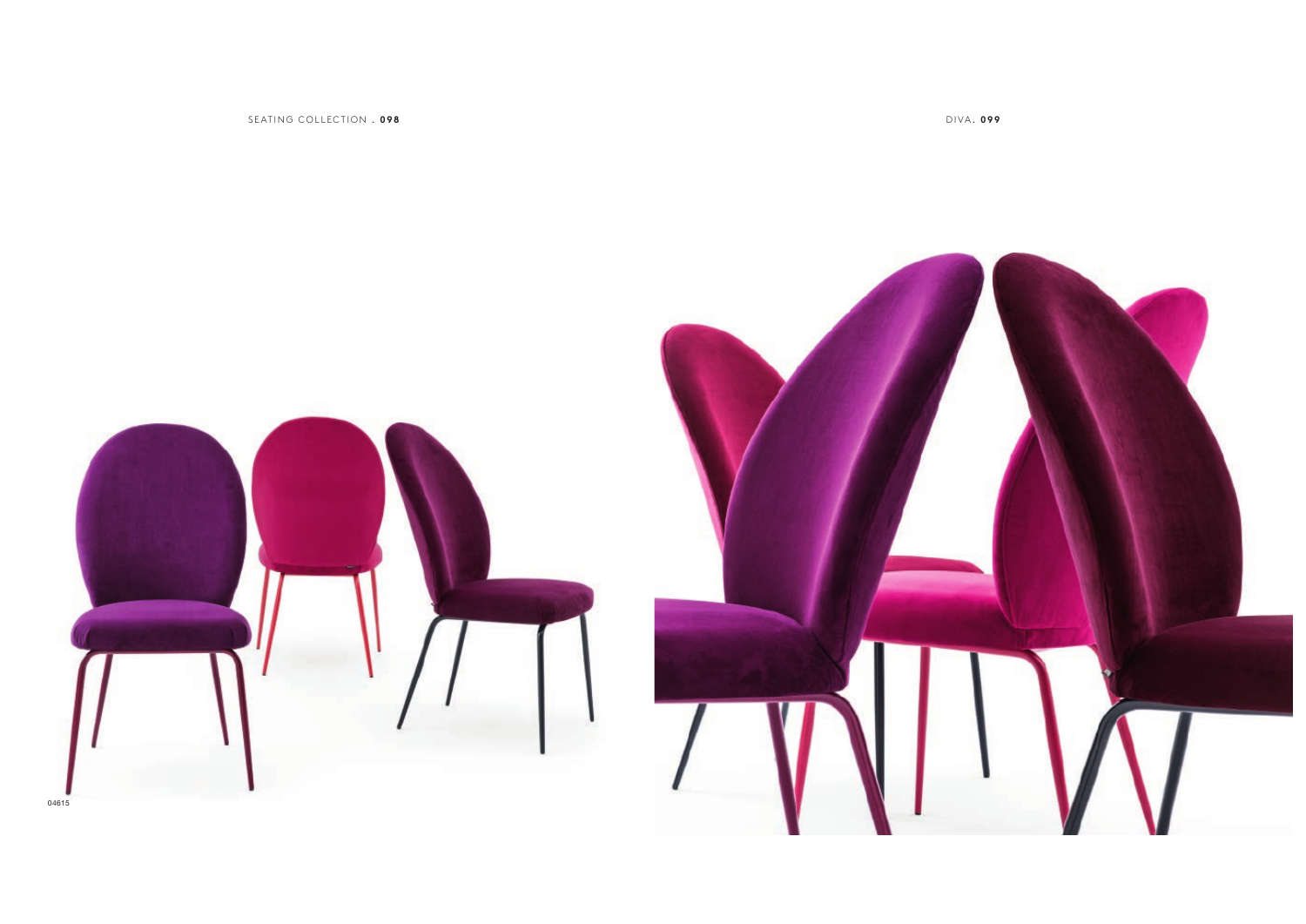SEATING COLLECTION . **098** DIVA. **099**



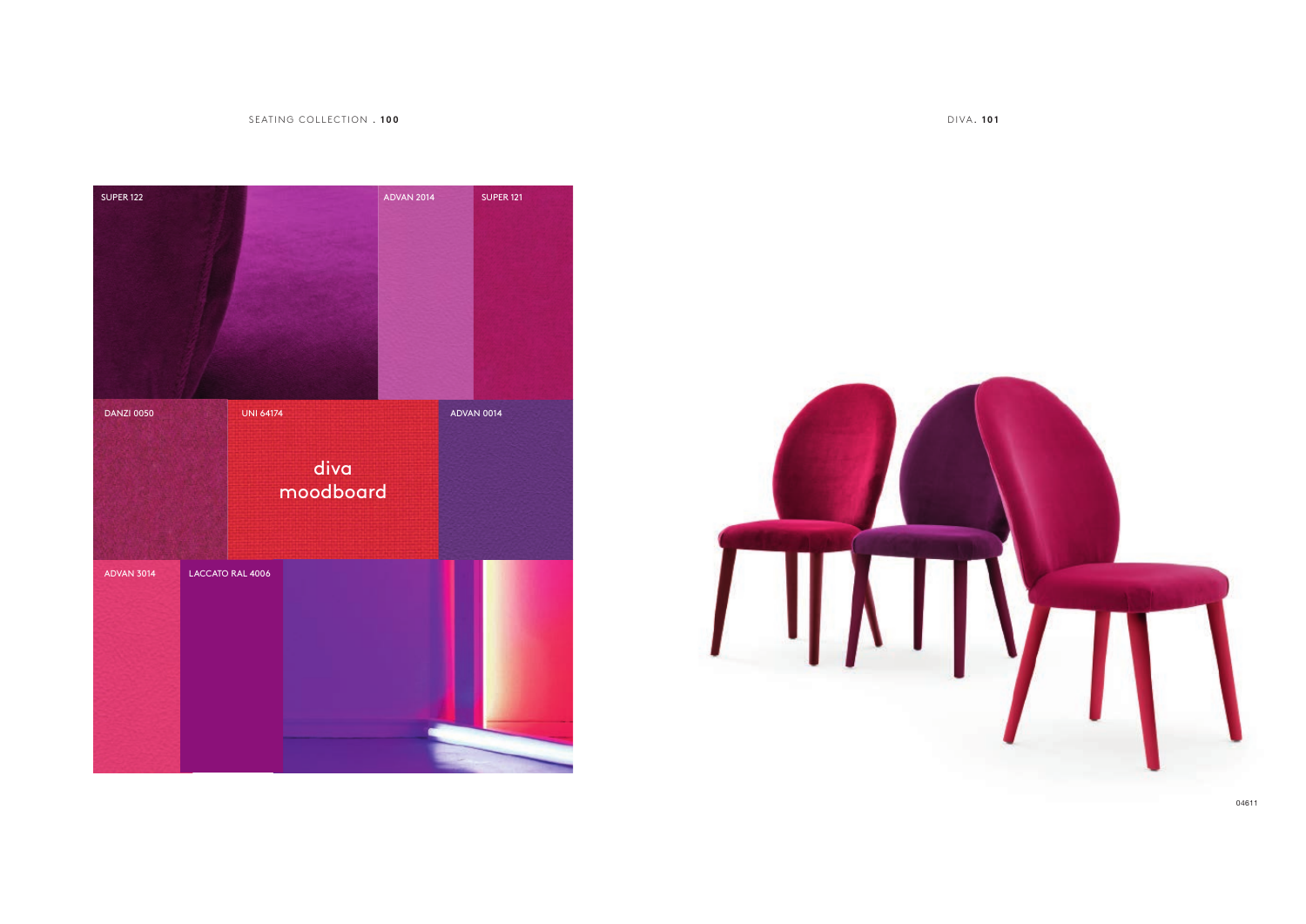## SEATING COLLECTION . **100** DIVA. **101**